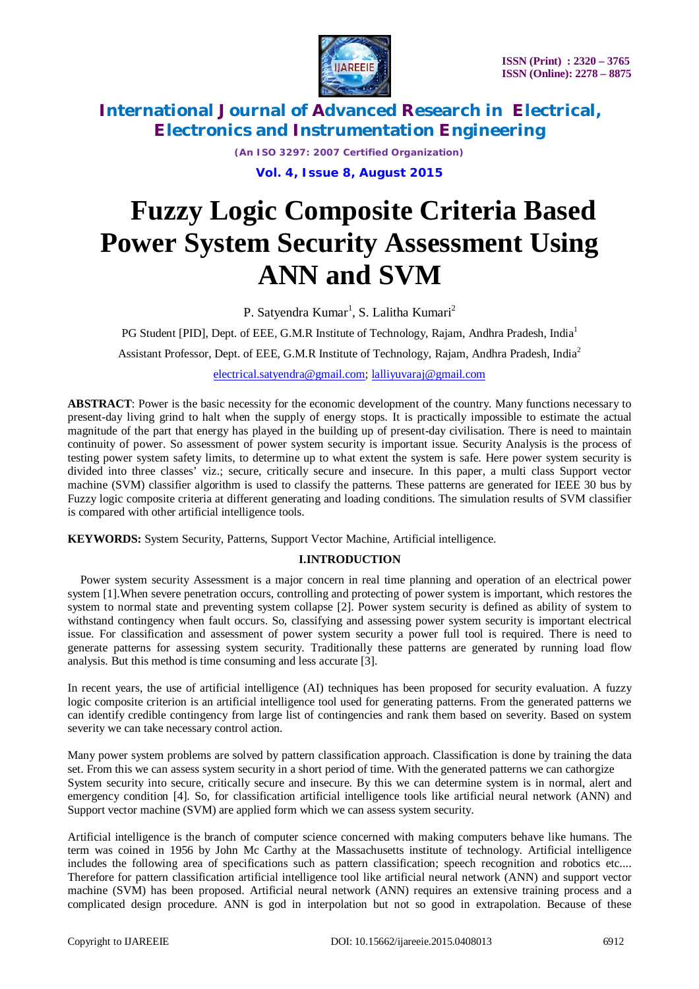



*(An ISO 3297: 2007 Certified Organization)*

**Vol. 4, Issue 8, August 2015**

# **Fuzzy Logic Composite Criteria Based Power System Security Assessment Using ANN and SVM**

P. Satyendra Kumar<sup>1</sup>, S. Lalitha Kumari<sup>2</sup>

PG Student [PID], Dept. of EEE, G.M.R Institute of Technology, Rajam, Andhra Pradesh, India<sup>1</sup>

Assistant Professor, Dept. of EEE, G.M.R Institute of Technology, Rajam, Andhra Pradesh, India<sup>2</sup>

electrical.satyendra@gmail.com; lalliyuvaraj@gmail.com

**ABSTRACT**: Power is the basic necessity for the economic development of the country. Many functions necessary to present-day living grind to halt when the supply of energy stops. It is practically impossible to estimate the actual magnitude of the part that energy has played in the building up of present-day civilisation. There is need to maintain continuity of power. So assessment of power system security is important issue. Security Analysis is the process of testing power system safety limits, to determine up to what extent the system is safe. Here power system security is divided into three classes' viz.; secure, critically secure and insecure. In this paper, a multi class Support vector machine (SVM) classifier algorithm is used to classify the patterns. These patterns are generated for IEEE 30 bus by Fuzzy logic composite criteria at different generating and loading conditions. The simulation results of SVM classifier is compared with other artificial intelligence tools.

**KEYWORDS:** System Security, Patterns, Support Vector Machine, Artificial intelligence.

### **I.INTRODUCTION**

Power system security Assessment is a major concern in real time planning and operation of an electrical power system [1].When severe penetration occurs, controlling and protecting of power system is important, which restores the system to normal state and preventing system collapse [2]. Power system security is defined as ability of system to withstand contingency when fault occurs. So, classifying and assessing power system security is important electrical issue. For classification and assessment of power system security a power full tool is required. There is need to generate patterns for assessing system security. Traditionally these patterns are generated by running load flow analysis. But this method is time consuming and less accurate [3].

In recent years, the use of artificial intelligence (AI) techniques has been proposed for security evaluation. A fuzzy logic composite criterion is an artificial intelligence tool used for generating patterns. From the generated patterns we can identify credible contingency from large list of contingencies and rank them based on severity. Based on system severity we can take necessary control action.

Many power system problems are solved by pattern classification approach. Classification is done by training the data set. From this we can assess system security in a short period of time. With the generated patterns we can cathorgize System security into secure, critically secure and insecure. By this we can determine system is in normal, alert and emergency condition [4]. So, for classification artificial intelligence tools like artificial neural network (ANN) and Support vector machine (SVM) are applied form which we can assess system security.

Artificial intelligence is the branch of computer science concerned with making computers behave like humans. The term was coined in 1956 by John Mc Carthy at the Massachusetts institute of technology. Artificial intelligence includes the following area of specifications such as pattern classification; speech recognition and robotics etc.... Therefore for pattern classification artificial intelligence tool like artificial neural network (ANN) and support vector machine (SVM) has been proposed. Artificial neural network (ANN) requires an extensive training process and a complicated design procedure. ANN is god in interpolation but not so good in extrapolation. Because of these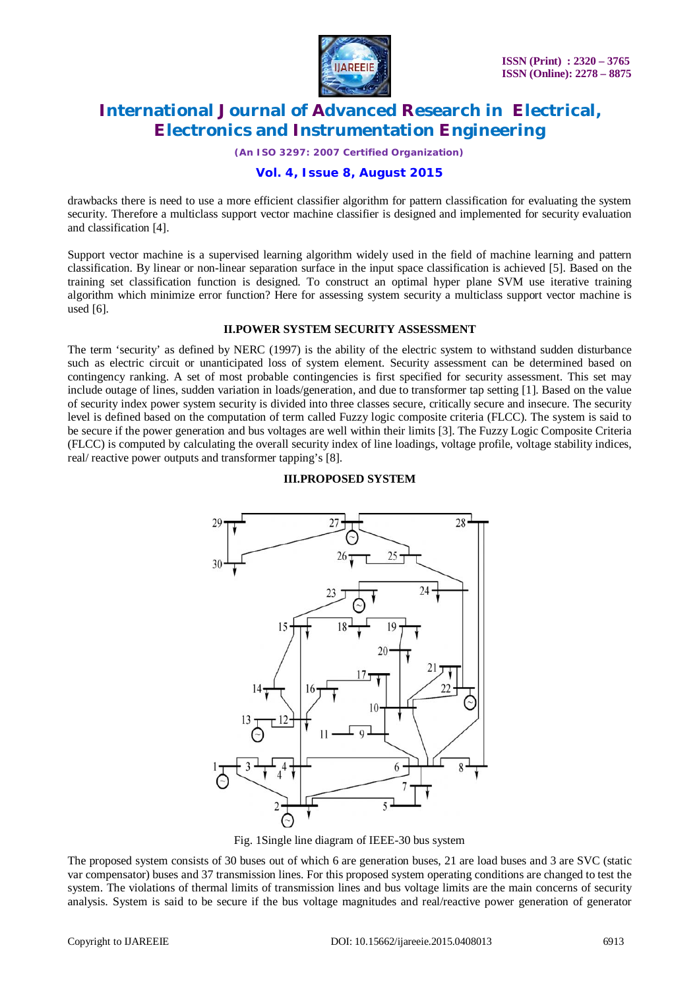

*(An ISO 3297: 2007 Certified Organization)*

### **Vol. 4, Issue 8, August 2015**

drawbacks there is need to use a more efficient classifier algorithm for pattern classification for evaluating the system security. Therefore a multiclass support vector machine classifier is designed and implemented for security evaluation and classification [4].

Support vector machine is a supervised learning algorithm widely used in the field of machine learning and pattern classification. By linear or non-linear separation surface in the input space classification is achieved [5]. Based on the training set classification function is designed. To construct an optimal hyper plane SVM use iterative training algorithm which minimize error function? Here for assessing system security a multiclass support vector machine is used [6].

#### **II.POWER SYSTEM SECURITY ASSESSMENT**

The term 'security' as defined by NERC (1997) is the ability of the electric system to withstand sudden disturbance such as electric circuit or unanticipated loss of system element. Security assessment can be determined based on contingency ranking. A set of most probable contingencies is first specified for security assessment. This set may include outage of lines, sudden variation in loads/generation, and due to transformer tap setting [1]. Based on the value of security index power system security is divided into three classes secure, critically secure and insecure. The security level is defined based on the computation of term called Fuzzy logic composite criteria (FLCC). The system is said to be secure if the power generation and bus voltages are well within their limits [3]. The Fuzzy Logic Composite Criteria (FLCC) is computed by calculating the overall security index of line loadings, voltage profile, voltage stability indices, real/ reactive power outputs and transformer tapping's [8].

#### **III.PROPOSED SYSTEM**



Fig. 1Single line diagram of IEEE-30 bus system

The proposed system consists of 30 buses out of which 6 are generation buses, 21 are load buses and 3 are SVC (static var compensator) buses and 37 transmission lines. For this proposed system operating conditions are changed to test the system. The violations of thermal limits of transmission lines and bus voltage limits are the main concerns of security analysis. System is said to be secure if the bus voltage magnitudes and real/reactive power generation of generator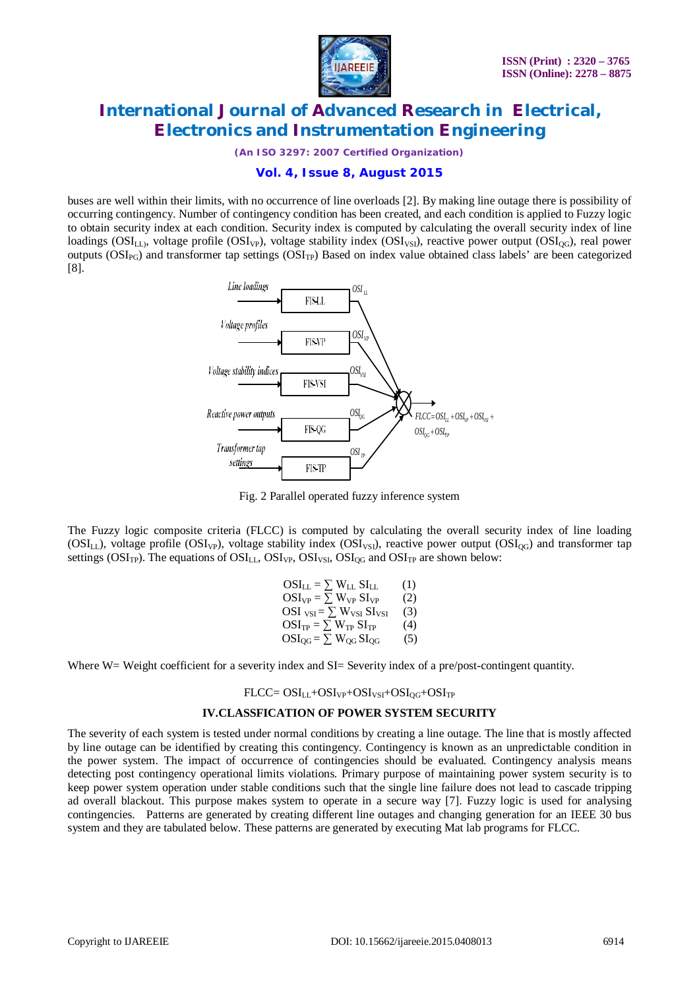

*(An ISO 3297: 2007 Certified Organization)*

### **Vol. 4, Issue 8, August 2015**

buses are well within their limits, with no occurrence of line overloads [2]. By making line outage there is possibility of occurring contingency. Number of contingency condition has been created, and each condition is applied to Fuzzy logic to obtain security index at each condition. Security index is computed by calculating the overall security index of line  $\text{loadings (OSI}_{LL}$ , voltage profile ( $\text{OSI}_{VP}$ ), voltage stability index ( $\text{OSI}_{VS}$ ), reactive power output ( $\text{OSI}_{CG}$ ), real power outputs ( $OSI_{PG}$ ) and transformer tap settings ( $OSI_{TP}$ ) Based on index value obtained class labels' are been categorized [8].



Fig. 2 Parallel operated fuzzy inference system

The Fuzzy logic composite criteria (FLCC) is computed by calculating the overall security index of line loading ( $OSI_{LL}$ ), voltage profile  $OSI_{VP}$ ), voltage stability index  $OSI_{VSI}$ ), reactive power output  $(SI_{OG})$  and transformer tap settings ( $OSI_{TP}$ ). The equations of  $OSI_{LL}$ ,  $OSI_{VP}$ ,  $OSI_{VS}$ ,  $OSI_{OG}$  and  $OSI_{TP}$  are shown below:

> $OSI_{LL} = \sum W_{LL} SI_{LL}$  (1)  $OSI_{VP} = \sum W_{VP} SI_{VP}$  (2) OSI  $_{\text{VSI}} = \sum_{\text{W}} W_{\text{VSI}} \sin \left( \frac{\hat{a}}{2} \right)$  $OSI_{TP} = \sum W_{TP} SI_{TP}$  (4)  $OSI_{OG} = \sum W_{OG} SI_{OG}$  (5)

Where W= Weight coefficient for a severity index and SI= Severity index of a pre/post-contingent quantity.

#### $FLCC = OSI_{LL} + OSI_{VP} + OSI_{VSI} + OSI_{OG} + OSI_{TP}$

#### **IV.CLASSFICATION OF POWER SYSTEM SECURITY**

The severity of each system is tested under normal conditions by creating a line outage. The line that is mostly affected by line outage can be identified by creating this contingency. Contingency is known as an unpredictable condition in the power system. The impact of occurrence of contingencies should be evaluated. Contingency analysis means detecting post contingency operational limits violations. Primary purpose of maintaining power system security is to keep power system operation under stable conditions such that the single line failure does not lead to cascade tripping ad overall blackout. This purpose makes system to operate in a secure way [7]. Fuzzy logic is used for analysing contingencies. Patterns are generated by creating different line outages and changing generation for an IEEE 30 bus system and they are tabulated below. These patterns are generated by executing Mat lab programs for FLCC.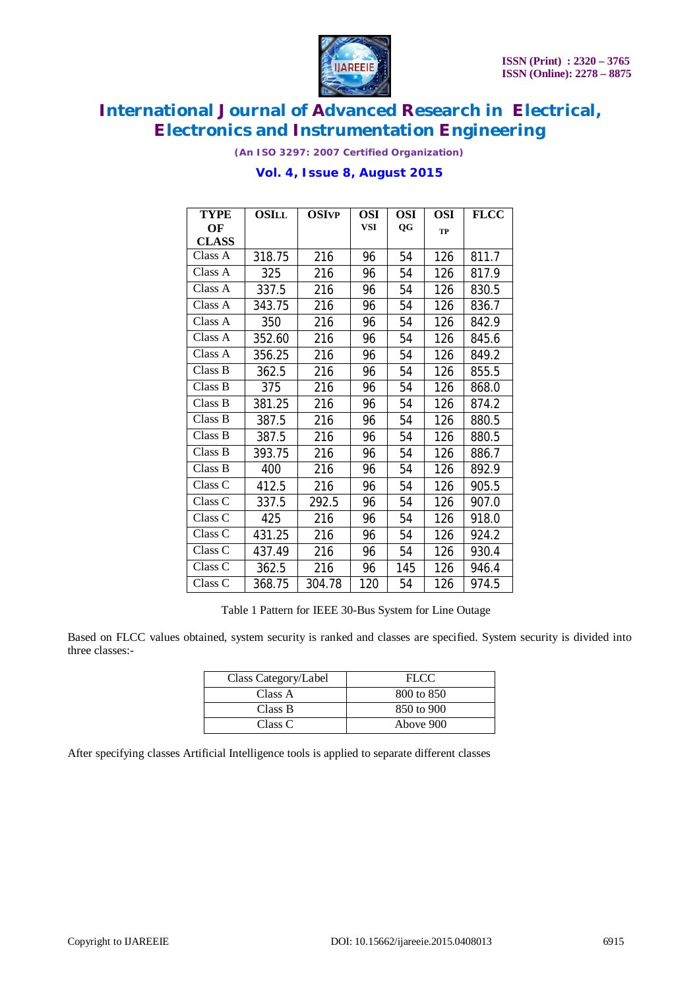

*(An ISO 3297: 2007 Certified Organization)*

| <b>TYPE</b>        | <b>OSILL</b> | <b>OSIVP</b> | <b>OSI</b> | <b>OSI</b> | <b>OSI</b> | <b>FLCC</b> |
|--------------------|--------------|--------------|------------|------------|------------|-------------|
| OF                 |              |              | <b>VSI</b> | QG         | <b>TP</b>  |             |
| <b>CLASS</b>       |              |              |            |            |            |             |
| Class A            | 318.75       | 216          | 96         | 54         | 126        | 811.7       |
| Class A            | 325          | 216          | 96         | 54         | 126        | 817.9       |
| Class A            | 337.5        | 216          | 96         | 54         | 126        | 830.5       |
| Class A            | 343.75       | 216          | 96         | 54         | 126        | 836.7       |
| Class A            | 350          | 216          | 96         | 54         | 126        | 842.9       |
| Class A            | 352.60       | 216          | 96         | 54         | 126        | 845.6       |
| Class A            | 356.25       | 216          | 96         | 54         | 126        | 849.2       |
| Class B            | 362.5        | 216          | 96         | 54         | 126        | 855.5       |
| Class B            | 375          | 216          | 96         | 54         | 126        | 868.0       |
| Class B            | 381.25       | 216          | 96         | 54         | 126        | 874.2       |
| Class B            | 387.5        | 216          | 96         | 54         | 126        | 880.5       |
| Class B            | 387.5        | 216          | 96         | 54         | 126        | 880.5       |
| Class B            | 393.75       | 216          | 96         | 54         | 126        | 886.7       |
| Class B            | 400          | 216          | 96         | 54         | 126        | 892.9       |
| Class C            | 412.5        | 216          | 96         | 54         | 126        | 905.5       |
| Class C            | 337.5        | 292.5        | 96         | 54         | 126        | 907.0       |
| Class C            | 425          | 216          | 96         | 54         | 126        | 918.0       |
| Class <sub>C</sub> | 431.25       | 216          | 96         | 54         | 126        | 924.2       |
| Class C            | 437.49       | 216          | 96         | 54         | 126        | 930.4       |
| Class C            | 362.5        | 216          | 96         | 145        | 126        | 946.4       |
| Class C            | 368.75       | 304.78       | 120        | 54         | 126        | 974.5       |

### **Vol. 4, Issue 8, August 2015**

Table 1 Pattern for IEEE 30-Bus System for Line Outage

Based on FLCC values obtained, system security is ranked and classes are specified. System security is divided into three classes:-

| Class Category/Label | FLCC       |
|----------------------|------------|
| Class A              | 800 to 850 |
| Class B              | 850 to 900 |
| Class C              | Above 900  |

After specifying classes Artificial Intelligence tools is applied to separate different classes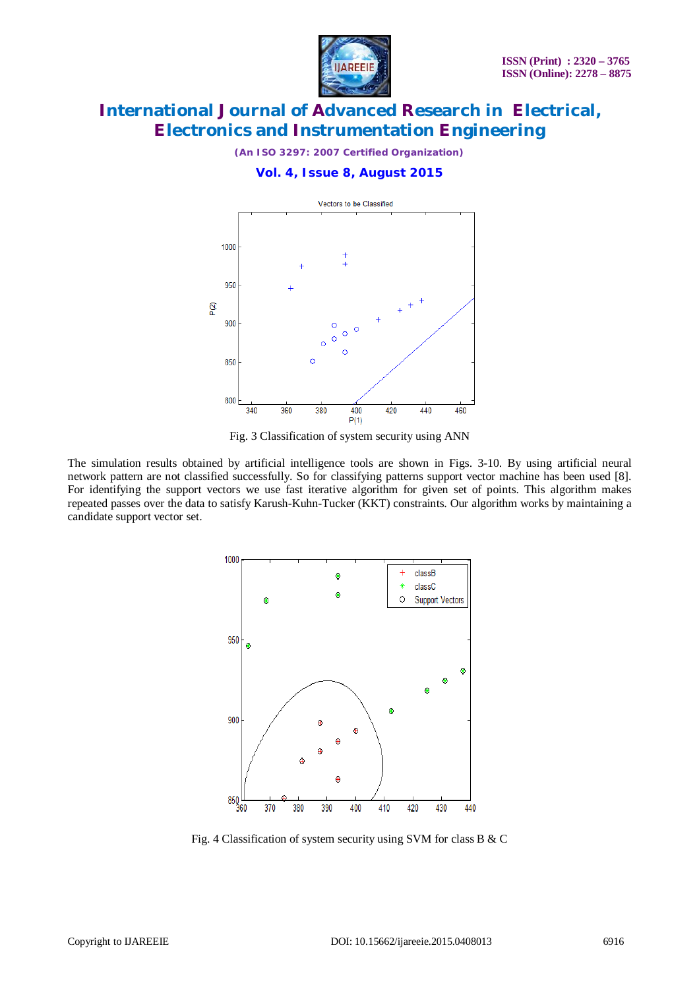

*(An ISO 3297: 2007 Certified Organization)*

#### **Vol. 4, Issue 8, August 2015**



Fig. 3 Classification of system security using ANN

The simulation results obtained by artificial intelligence tools are shown in Figs. 3-10. By using artificial neural network pattern are not classified successfully. So for classifying patterns support vector machine has been used [8]. For identifying the support vectors we use fast iterative algorithm for given set of points. This algorithm makes repeated passes over the data to satisfy Karush-Kuhn-Tucker (KKT) constraints. Our algorithm works by maintaining a candidate support vector set.



Fig. 4 Classification of system security using SVM for class B & C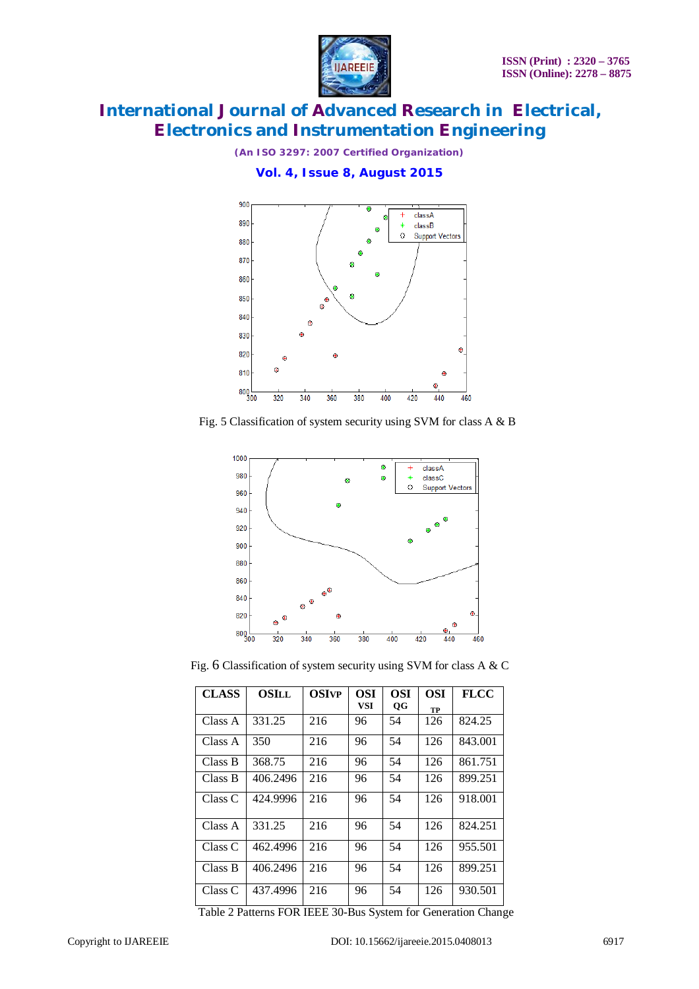

*(An ISO 3297: 2007 Certified Organization)*

**Vol. 4, Issue 8, August 2015**



Fig. 5 Classification of system security using SVM for class A & B



Fig. 6 Classification of system security using SVM for class A & C

| <b>CLASS</b> | <b>OSILL</b> | <b>OSIVP</b> | <b>OSI</b> | <b>OSI</b> | <b>OSI</b> | <b>FLCC</b> |
|--------------|--------------|--------------|------------|------------|------------|-------------|
|              |              |              | <b>VSI</b> | <b>OG</b>  | TP         |             |
| Class A      | 331.25       | 216          | 96         | 54         | 126        | 824.25      |
| Class A      | 350          | 216          | 96         | 54         | 126        | 843.001     |
| Class B      | 368.75       | 216          | 96         | 54         | 126        | 861.751     |
| Class B      | 406.2496     | 216          | 96         | 54         | 126        | 899.251     |
| Class C      | 424.9996     | 216          | 96         | 54         | 126        | 918.001     |
| Class A      | 331.25       | 216          | 96         | 54         | 126        | 824.251     |
| Class C      | 462.4996     | 216          | 96         | 54         | 126        | 955.501     |
| Class B      | 406.2496     | 216          | 96         | 54         | 126        | 899.251     |
| Class C      | 437.4996     | 216          | 96         | 54         | 126        | 930.501     |

Table 2 Patterns FOR IEEE 30-Bus System for Generation Change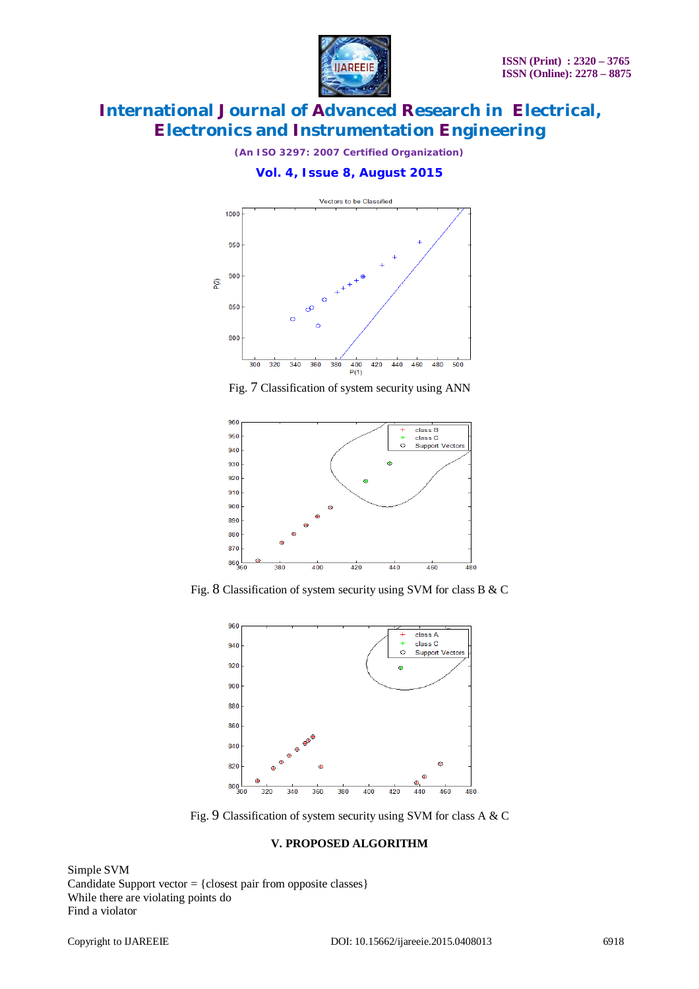

*(An ISO 3297: 2007 Certified Organization)*

**Vol. 4, Issue 8, August 2015**



Fig. 7 Classification of system security using ANN



Fig. 8 Classification of system security using SVM for class B & C



Fig. 9 Classification of system security using SVM for class A & C

### **V. PROPOSED ALGORITHM**

Simple SVM Candidate Support vector  $=$  {closest pair from opposite classes} While there are violating points do Find a violator